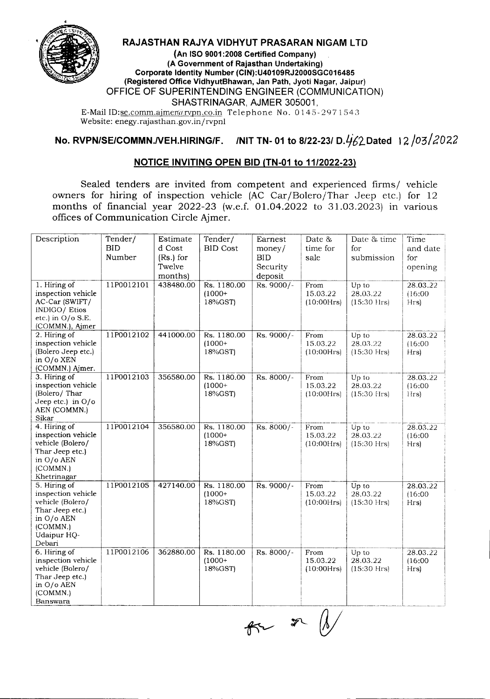

## RAJASTHAN RAJYA VIDHYUT PRASARAN NIGAM LTD

(An ISO 9001:2008 Certified Company) (A Government of Rajasthan Undertaking) Corporate Identity Number (CIN):U40109RJ2000SGC016485 (Registered Office VidhyutBhawan, Jan Path, Jyoti Nagar, Jaipur) OFFICE OF SUPERINTENDING ENGINEER (COMMUNICATION) SHASTRINAGAR, AJMER 305001,

E-Mail ID:se.comm.ajmer@rvpn.co.in Telephone No. 0145-2971543 Website: enegy.rajasthan.gov.in/rvpnl

## No. RVPN/SE/COMMN./VEH.HIRING/F. /NIT TN- 01 to 8/22-23/ D. $\frac{1}{62}$ Dated 12/03/2022

## NOTICE INVITING OPEN BID (TN-01 to 11/2022-23)

Sealed tenders are invited from competent and experienced firms/ vehicle owners for hiring of inspection vehicle (AC Car/Bolero/Thar Jeep etc.) for 12 months of financial year 2022-23 (w.e.f. 01.04.2022 to 31.03.2023) in various offices of Communication Circle Ajmer.

| Description                   | Tender/    | Estimate    | Tender/         | Earnest     | Date &           | Date & time       | Time                |
|-------------------------------|------------|-------------|-----------------|-------------|------------------|-------------------|---------------------|
|                               | <b>BID</b> | d Cost      | <b>BID Cost</b> | money/      | time for         | for               | and date            |
|                               | Number     | $(Rs.)$ for |                 | <b>BID</b>  | sale             | submission        | for                 |
|                               |            | Twelve      |                 | Security    |                  |                   | opening             |
|                               |            | months)     |                 | deposit     |                  |                   |                     |
| 1. Hiring of                  | 11P0012101 | 438480.00   | Rs. 1180.00     | Rs. 9000/-  | From             | Up to             | 28.03.22            |
| inspection vehicle            |            |             | $(1000+$        |             | 15.03.22         | 28,03.22          | (16:00)             |
| AC-Car (SWIFT/                |            |             | 18%GST)         |             | (10:00Hrs)       | $(15:30$ Hrs)     | Hrs)                |
| INDIGO/Etios                  |            |             |                 |             |                  |                   |                     |
| etc.) in O/o S.E.             |            |             |                 |             |                  |                   |                     |
| (COMMN.), Ajmer               |            |             |                 |             |                  |                   |                     |
| 2. Hiring of                  | 11P0012102 | 441000.00   | Rs. 1180.00     | Rs. 9000/-  | From             | Up to             | 28.03.22            |
| inspection vehicle            |            |             | $(1000+$        |             | 15.03.22         | 28.03.22          | (16:00)             |
| (Bolero Jeep etc.)            |            |             | $18\%$ GST)     |             | (10:00Hrs)       | $(15:30$ Hrs $)$  | Hrs)                |
| in O/o XEN<br>(COMMN.) Aimer. |            |             |                 |             |                  |                   |                     |
| 3. Hiring of                  | 11P0012103 | 356580.00   | Rs. 1180.00     | Rs. 8000/-  | From             | Up to             | 28.03.22            |
| inspection vehicle            |            |             | $(1000 +$       |             | 15.03.22         | 28.03.22          | (16:00)             |
| (Bolero/Thar                  |            |             | 18%GST)         |             | (10:00Hrs)       | $(15:30$ Hrs $)$  | Hrs)                |
| Jeep etc.) in $O/O$           |            |             |                 |             |                  |                   |                     |
| AEN (COMMN.)                  |            |             |                 |             |                  |                   |                     |
| Sikar                         |            |             |                 |             |                  |                   |                     |
| 4. Hiring of                  | 11P0012104 | 356580.00   | Rs. 1180.00     | Rs. 8000/-  | From             | Up to             | 28.03.22            |
| inspection vehicle            |            |             | $(1000+$        |             | 15.03.22         | 28.03.22          | (16:00)             |
| vehicle (Bolero/              |            |             | 18%GST)         |             | (10:00Hrs)       | $(15:30$ Hrs)     | Hrs)                |
| Thar Jeep etc.)               |            |             |                 |             |                  |                   |                     |
| in O/o AEN                    |            |             |                 |             |                  |                   |                     |
| (COMMN.)                      |            |             |                 |             |                  |                   |                     |
| Khetrinagar<br>5. Hiring of   | 11P0012105 | 427140.00   | Rs. 1180.00     | $Rs.9000/-$ |                  |                   |                     |
| inspection vehicle            |            |             | $(1000 +$       |             | From<br>15.03.22 | Up to<br>28.03.22 | 28.03.22<br>(16:00) |
| vehicle (Bolero/              |            |             | 18%GST)         |             | (10:00Hrs)       | $(15:30$ Hrs $)$  | Hrs)                |
| Thar Jeep etc.)               |            |             |                 |             |                  |                   |                     |
| in O/o AEN                    |            |             |                 |             |                  |                   |                     |
| (COMMN.)                      |            |             |                 |             |                  |                   |                     |
| Udaipur HQ-                   |            |             |                 |             |                  |                   |                     |
| Debari                        |            |             |                 |             |                  |                   |                     |
| 6. Hiring of                  | 11P0012106 | 362880.00   | Rs. 1180.00     | Rs. 8000/-  | From             | Up to             | 28.03.22            |
| inspection vehicle            |            |             | $(1000 +$       |             | 15.03.22         | 28.03.22          | (16:00)             |
| vehicle (Bolero/              |            |             | 18%GST)         |             | (10:00Hrs)       | $(15:30$ Hrs)     | Hrs)                |
| Thar Jeep etc.)               |            |             |                 |             |                  |                   |                     |
| in O/o AEN<br>(COMMN.)        |            |             |                 |             |                  |                   |                     |
| Banswara                      |            |             |                 |             |                  |                   |                     |
|                               |            |             |                 |             |                  |                   |                     |

 $R2 = 20$